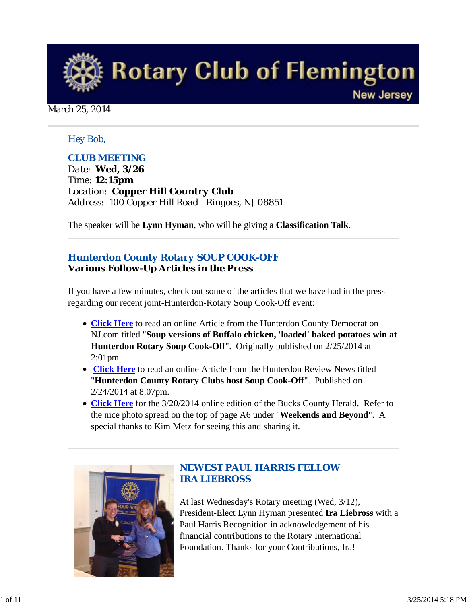

March 25, 2014

#### *Hey Bob,*

#### *CLUB MEETING*

*Date: Wed, 3/26 Time: 12:15pm Location: Copper Hill Country Club Address: 100 Copper Hill Road - Ringoes, NJ 08851*

The speaker will be **Lynn Hyman**, who will be giving a **Classification Talk**.

#### *Hunterdon County Rotary SOUP COOK-OFF* **Various Follow-Up Articles in the Press**

If you have a few minutes, check out some of the articles that we have had in the press regarding our recent joint-Hunterdon-Rotary Soup Cook-Off event:

- **Click Here** to read an online Article from the Hunterdon County Democrat on NJ.com titled "**Soup versions of Buffalo chicken, 'loaded' baked potatoes win at Hunterdon Rotary Soup Cook-Off**". Originally published on 2/25/2014 at 2:01pm.
- **Click Here** to read an online Article from the Hunterdon Review News titled "**Hunterdon County Rotary Clubs host Soup Cook-Off**". Published on 2/24/2014 at 8:07pm.
- **Click Here** for the 3/20/2014 online edition of the Bucks County Herald. Refer to the nice photo spread on the top of page A6 under "**Weekends and Beyond**". A special thanks to Kim Metz for seeing this and sharing it.



#### *NEWEST PAUL HARRIS FELLOW IRA LIEBROSS*

At last Wednesday's Rotary meeting (Wed, 3/12), President-Elect Lynn Hyman presented **Ira Liebross** with a Paul Harris Recognition in acknowledgement of his financial contributions to the Rotary International Foundation. Thanks for your Contributions, Ira!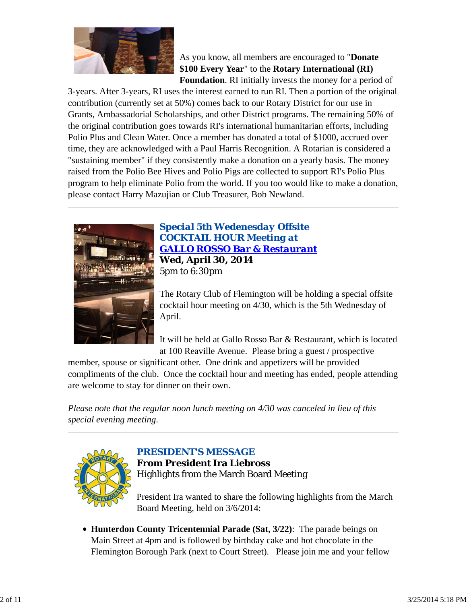

#### As you know, all members are encouraged to "**Donate \$100 Every Year**" to the **Rotary International (RI) Foundation**. RI initially invests the money for a period of

3-years. After 3-years, RI uses the interest earned to run RI. Then a portion of the original contribution (currently set at 50%) comes back to our Rotary District for our use in Grants, Ambassadorial Scholarships, and other District programs. The remaining 50% of the original contribution goes towards RI's international humanitarian efforts, including Polio Plus and Clean Water. Once a member has donated a total of \$1000, accrued over time, they are acknowledged with a Paul Harris Recognition. A Rotarian is considered a "sustaining member" if they consistently make a donation on a yearly basis. The money raised from the Polio Bee Hives and Polio Pigs are collected to support RI's Polio Plus program to help eliminate Polio from the world. If you too would like to make a donation, please contact Harry Mazujian or Club Treasurer, Bob Newland.



*Special 5th Wedenesday Offsite COCKTAIL HOUR Meeting at GALLO ROSSO Bar & Restaurant* **Wed, April 30, 2014** 5pm to 6:30pm

The Rotary Club of Flemington will be holding a special offsite cocktail hour meeting on 4/30, which is the 5th Wednesday of April.

It will be held at Gallo Rosso Bar & Restaurant, which is located at 100 Reaville Avenue. Please bring a guest / prospective

member, spouse or significant other. One drink and appetizers will be provided compliments of the club. Once the cocktail hour and meeting has ended, people attending are welcome to stay for dinner on their own.

*Please note that the regular noon lunch meeting on 4/30 was canceled in lieu of this special evening meeting*.



## *PRESIDENT'S MESSAGE* **From President Ira Liebross** Highlights from the March Board Meeting

President Ira wanted to share the following highlights from the March Board Meeting, held on 3/6/2014:

**Hunterdon County Tricentennial Parade (Sat, 3/22)**: The parade beings on Main Street at 4pm and is followed by birthday cake and hot chocolate in the Flemington Borough Park (next to Court Street). Please join me and your fellow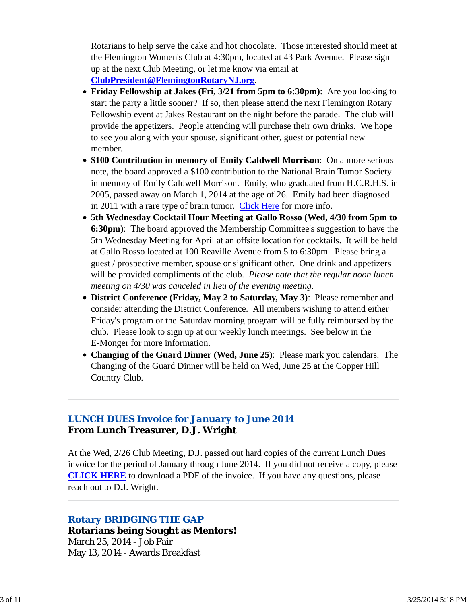Rotarians to help serve the cake and hot chocolate. Those interested should meet at the Flemington Women's Club at 4:30pm, located at 43 Park Avenue. Please sign up at the next Club Meeting, or let me know via email at **ClubPresident@FlemingtonRotaryNJ.org**.

- **Friday Fellowship at Jakes (Fri, 3/21 from 5pm to 6:30pm)**: Are you looking to start the party a little sooner? If so, then please attend the next Flemington Rotary Fellowship event at Jakes Restaurant on the night before the parade. The club will provide the appetizers. People attending will purchase their own drinks. We hope to see you along with your spouse, significant other, guest or potential new member.
- **\$100 Contribution in memory of Emily Caldwell Morrison**: On a more serious note, the board approved a \$100 contribution to the National Brain Tumor Society in memory of Emily Caldwell Morrison. Emily, who graduated from H.C.R.H.S. in 2005, passed away on March 1, 2014 at the age of 26. Emily had been diagnosed in 2011 with a rare type of brain tumor. Click Here for more info.
- **5th Wednesday Cocktail Hour Meeting at Gallo Rosso (Wed, 4/30 from 5pm to 6:30pm)**: The board approved the Membership Committee's suggestion to have the 5th Wednesday Meeting for April at an offsite location for cocktails. It will be held at Gallo Rosso located at 100 Reaville Avenue from 5 to 6:30pm. Please bring a guest / prospective member, spouse or significant other. One drink and appetizers will be provided compliments of the club. *Please note that the regular noon lunch meeting on 4/30 was canceled in lieu of the evening meeting*.
- **District Conference (Friday, May 2 to Saturday, May 3)**: Please remember and consider attending the District Conference. All members wishing to attend either Friday's program or the Saturday morning program will be fully reimbursed by the club. Please look to sign up at our weekly lunch meetings. See below in the E-Monger for more information.
- **Changing of the Guard Dinner (Wed, June 25)**: Please mark you calendars. The Changing of the Guard Dinner will be held on Wed, June 25 at the Copper Hill Country Club.

## *LUNCH DUES Invoice for January to June 2014* **From Lunch Treasurer, D.J. Wright**

At the Wed, 2/26 Club Meeting, D.J. passed out hard copies of the current Lunch Dues invoice for the period of January through June 2014. If you did not receive a copy, please **CLICK HERE** to download a PDF of the invoice. If you have any questions, please reach out to D.J. Wright.

## *Rotary BRIDGING THE GAP*

**Rotarians being Sought as Mentors!** March 25, 2014 - Job Fair May 13, 2014 - Awards Breakfast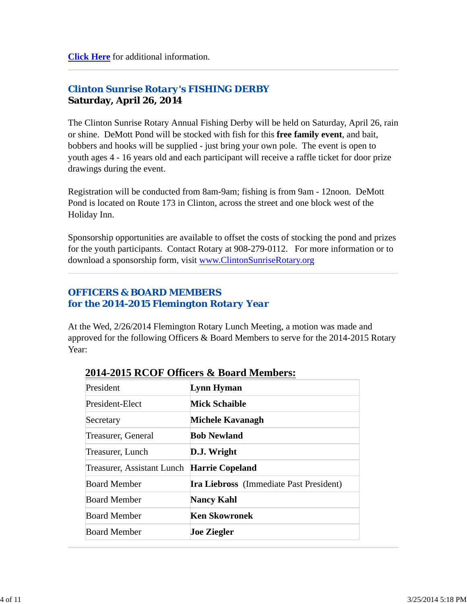## *Clinton Sunrise Rotary's FISHING DERBY* **Saturday, April 26, 2014**

The Clinton Sunrise Rotary Annual Fishing Derby will be held on Saturday, April 26, rain or shine. DeMott Pond will be stocked with fish for this **free family event**, and bait, bobbers and hooks will be supplied - just bring your own pole. The event is open to youth ages 4 - 16 years old and each participant will receive a raffle ticket for door prize drawings during the event.

Registration will be conducted from 8am-9am; fishing is from 9am - 12noon. DeMott Pond is located on Route 173 in Clinton, across the street and one block west of the Holiday Inn.

Sponsorship opportunities are available to offset the costs of stocking the pond and prizes for the youth participants. Contact Rotary at 908-279-0112. For more information or to download a sponsorship form, visit www.ClintonSunriseRotary.org

## *OFFICERS & BOARD MEMBERS for the 2014-2015 Flemington Rotary Year*

At the Wed, 2/26/2014 Flemington Rotary Lunch Meeting, a motion was made and approved for the following Officers & Board Members to serve for the 2014-2015 Rotary Year:

| President                                  | Lynn Hyman                                     |
|--------------------------------------------|------------------------------------------------|
| President-Elect                            | <b>Mick Schaible</b>                           |
| Secretary                                  | Michele Kavanagh                               |
| Treasurer, General                         | <b>Bob Newland</b>                             |
| Treasurer, Lunch                           | D.J. Wright                                    |
| Treasurer, Assistant Lunch Harrie Copeland |                                                |
| <b>Board Member</b>                        | <b>Ira Liebross</b> (Immediate Past President) |
| <b>Board Member</b>                        | <b>Nancy Kahl</b>                              |
| <b>Board Member</b>                        | <b>Ken Skowronek</b>                           |
| <b>Board Member</b>                        | <b>Joe Ziegler</b>                             |

## **2014-2015 RCOF Officers & Board Members:**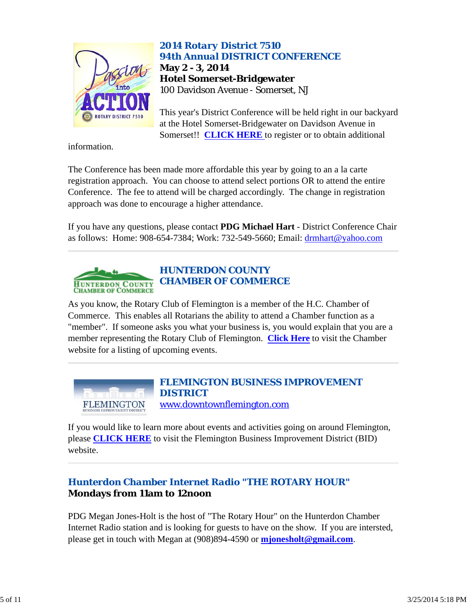

*2014 Rotary District 7510 94th Annual DISTRICT CONFERENCE* **May 2 - 3, 2014 Hotel Somerset-Bridgewater** 100 Davidson Avenue - Somerset, NJ

This year's District Conference will be held right in our backyard at the Hotel Somerset-Bridgewater on Davidson Avenue in Somerset!! **CLICK HERE** to register or to obtain additional

information.

The Conference has been made more affordable this year by going to an a la carte registration approach. You can choose to attend select portions OR to attend the entire Conference. The fee to attend will be charged accordingly. The change in registration approach was done to encourage a higher attendance.

If you have any questions, please contact **PDG Michael Hart** - District Conference Chair as follows: Home: 908-654-7384; Work: 732-549-5660; Email: drmhart@yahoo.com



As you know, the Rotary Club of Flemington is a member of the H.C. Chamber of Commerce. This enables all Rotarians the ability to attend a Chamber function as a "member". If someone asks you what your business is, you would explain that you are a member representing the Rotary Club of Flemington. **Click Here** to visit the Chamber website for a listing of upcoming events.



If you would like to learn more about events and activities going on around Flemington, please **CLICK HERE** to visit the Flemington Business Improvement District (BID) website.

## *Hunterdon Chamber Internet Radio "THE ROTARY HOUR"* **Mondays from 11am to 12noon**

PDG Megan Jones-Holt is the host of "The Rotary Hour" on the Hunterdon Chamber Internet Radio station and is looking for guests to have on the show. If you are intersted, please get in touch with Megan at (908)894-4590 or **mjonesholt@gmail.com**.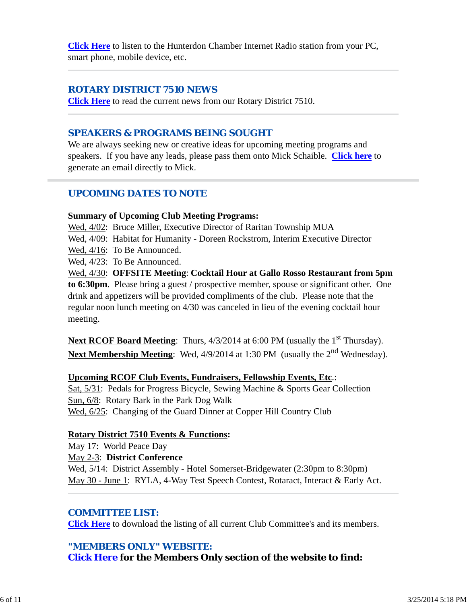**Click Here** to listen to the Hunterdon Chamber Internet Radio station from your PC, smart phone, mobile device, etc.

#### *ROTARY DISTRICT 7510 NEWS*

**Click Here** to read the current news from our Rotary District 7510.

### *SPEAKERS & PROGRAMS BEING SOUGHT*

We are always seeking new or creative ideas for upcoming meeting programs and speakers. If you have any leads, please pass them onto Mick Schaible. **Click here** to generate an email directly to Mick.

## *UPCOMING DATES TO NOTE*

#### **Summary of Upcoming Club Meeting Programs:**

Wed, 4/02: Bruce Miller, Executive Director of Raritan Township MUA

Wed, 4/09: Habitat for Humanity - Doreen Rockstrom, Interim Executive Director

Wed, 4/16: To Be Announced.

Wed, 4/23: To Be Announced.

Wed, 4/30: **OFFSITE Meeting**: **Cocktail Hour at Gallo Rosso Restaurant from 5pm to 6:30pm**. Please bring a guest / prospective member, spouse or significant other. One drink and appetizers will be provided compliments of the club. Please note that the regular noon lunch meeting on 4/30 was canceled in lieu of the evening cocktail hour meeting.

**Next RCOF Board Meeting**: Thurs,  $4/3/2014$  at 6:00 PM (usually the 1<sup>st</sup> Thursday). Next Membership Meeting: Wed, 4/9/2014 at 1:30 PM (usually the 2<sup>nd</sup> Wednesday).

#### **Upcoming RCOF Club Events, Fundraisers, Fellowship Events, Etc**.:

Sat, 5/31: Pedals for Progress Bicycle, Sewing Machine & Sports Gear Collection Sun, 6/8: Rotary Bark in the Park Dog Walk Wed, 6/25: Changing of the Guard Dinner at Copper Hill Country Club

#### **Rotary District 7510 Events & Functions:**

May 17: World Peace Day May 2-3: **District Conference** Wed,  $5/14$ : District Assembly - Hotel Somerset-Bridgewater (2:30pm to 8:30pm) May 30 - June 1: RYLA, 4-Way Test Speech Contest, Rotaract, Interact & Early Act.

## *COMMITTEE LIST:*

**Click Here** to download the listing of all current Club Committee's and its members.

## *"MEMBERS ONLY" WEBSITE:*

**Click Here for the Members Only section of the website to find:**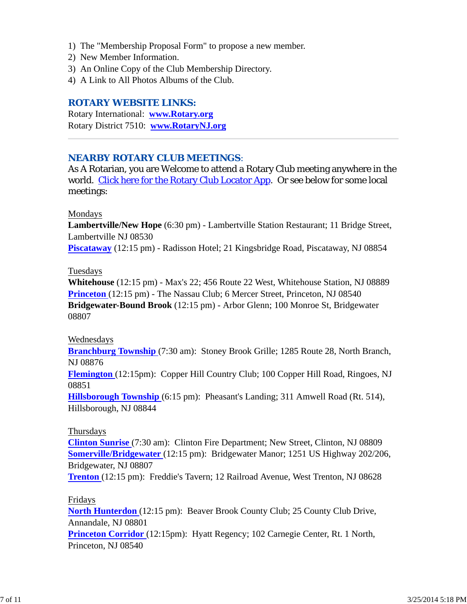- 1) The "Membership Proposal Form" to propose a new member.
- 2) New Member Information.
- 3) An Online Copy of the Club Membership Directory.
- 4) A Link to All Photos Albums of the Club.

#### *ROTARY WEBSITE LINKS:*

Rotary International: **www.Rotary.org** Rotary District 7510: **www.RotaryNJ.org**

#### *NEARBY ROTARY CLUB MEETINGS:*

As A Rotarian, you are Welcome to attend a Rotary Club meeting anywhere in the world. Click here for the Rotary Club Locator App. Or see below for some local meetings:

#### Mondays

**Lambertville/New Hope** (6:30 pm) - Lambertville Station Restaurant; 11 Bridge Street, Lambertville NJ 08530

**Piscataway** (12:15 pm) - Radisson Hotel; 21 Kingsbridge Road, Piscataway, NJ 08854

#### Tuesdays

**Whitehouse** (12:15 pm) - Max's 22; 456 Route 22 West, Whitehouse Station, NJ 08889 **Princeton** (12:15 pm) - The Nassau Club; 6 Mercer Street, Princeton, NJ 08540 **Bridgewater-Bound Brook** (12:15 pm) - Arbor Glenn; 100 Monroe St, Bridgewater 08807

#### Wednesdays

**Branchburg Township** (7:30 am): Stoney Brook Grille; 1285 Route 28, North Branch, NJ 08876

**Flemington** (12:15pm): Copper Hill Country Club; 100 Copper Hill Road, Ringoes, NJ 08851

**Hillsborough Township** (6:15 pm): Pheasant's Landing; 311 Amwell Road (Rt. 514), Hillsborough, NJ 08844

#### Thursdays

**Clinton Sunrise** (7:30 am): Clinton Fire Department; New Street, Clinton, NJ 08809 **Somerville/Bridgewater** (12:15 pm): Bridgewater Manor; 1251 US Highway 202/206, Bridgewater, NJ 08807

**Trenton** (12:15 pm): Freddie's Tavern; 12 Railroad Avenue, West Trenton, NJ 08628

#### Fridays

**North Hunterdon** (12:15 pm): Beaver Brook County Club; 25 County Club Drive, Annandale, NJ 08801 **Princeton Corridor** (12:15pm): Hyatt Regency; 102 Carnegie Center, Rt. 1 North, Princeton, NJ 08540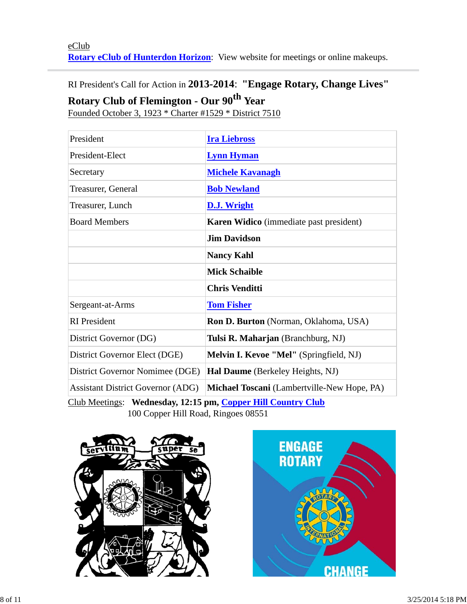## RI President's Call for Action in **2013-2014**: **"Engage Rotary, Change Lives"**

# **Rotary Club of Flemington - Our 90th Year**

Founded October 3, 1923 \* Charter #1529 \* District 7510

| President                                                    | <b>Ira Liebross</b>                            |  |  |
|--------------------------------------------------------------|------------------------------------------------|--|--|
| President-Elect                                              | <b>Lynn Hyman</b>                              |  |  |
| Secretary                                                    | <b>Michele Kavanagh</b>                        |  |  |
| Treasurer, General                                           | <b>Bob Newland</b>                             |  |  |
| Treasurer, Lunch                                             | <b>D.J. Wright</b>                             |  |  |
| <b>Board Members</b>                                         | <b>Karen Widico</b> (immediate past president) |  |  |
|                                                              | <b>Jim Davidson</b>                            |  |  |
|                                                              | <b>Nancy Kahl</b>                              |  |  |
|                                                              | <b>Mick Schaible</b>                           |  |  |
|                                                              | <b>Chris Venditti</b>                          |  |  |
| Sergeant-at-Arms                                             | <b>Tom Fisher</b>                              |  |  |
| <b>RI</b> President                                          | Ron D. Burton (Norman, Oklahoma, USA)          |  |  |
| District Governor (DG)                                       | Tulsi R. Maharjan (Branchburg, NJ)             |  |  |
| District Governor Elect (DGE)                                | Melvin I. Kevoe "Mel" (Springfield, NJ)        |  |  |
| District Governor Nomimee (DGE)                              | Hal Daume (Berkeley Heights, NJ)               |  |  |
| <b>Assistant District Governor (ADG)</b>                     | Michael Toscani (Lambertville-New Hope, PA)    |  |  |
| Club Meetings: Wednesday, 12:15 pm, Copper Hill Country Club |                                                |  |  |

100 Copper Hill Road, Ringoes 08551



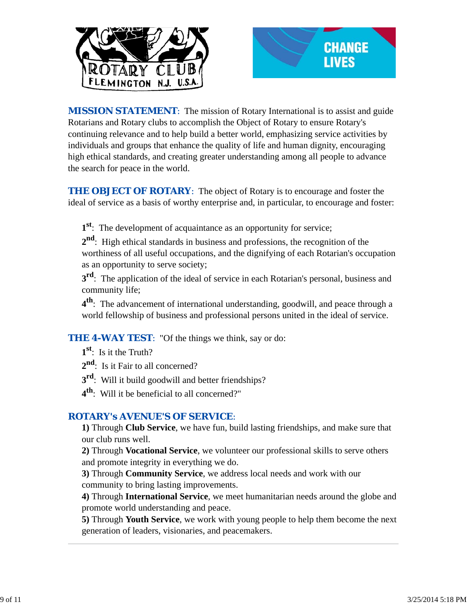



*MISSION STATEMENT*: The mission of Rotary International is to assist and guide Rotarians and Rotary clubs to accomplish the Object of Rotary to ensure Rotary's continuing relevance and to help build a better world, emphasizing service activities by individuals and groups that enhance the quality of life and human dignity, encouraging high ethical standards, and creating greater understanding among all people to advance the search for peace in the world.

**THE OBJECT OF ROTARY:** The object of Rotary is to encourage and foster the ideal of service as a basis of worthy enterprise and, in particular, to encourage and foster:

**1st**: The development of acquaintance as an opportunity for service;

**2nd**: High ethical standards in business and professions, the recognition of the worthiness of all useful occupations, and the dignifying of each Rotarian's occupation as an opportunity to serve society;

**3<sup>rd</sup>**: The application of the ideal of service in each Rotarian's personal, business and community life;

**4th**: The advancement of international understanding, goodwill, and peace through a world fellowship of business and professional persons united in the ideal of service.

*THE 4-WAY TEST*: "Of the things we think, say or do:

**1st**: Is it the Truth?

2<sup>nd</sup>: Is it Fair to all concerned?

**3<sup>rd</sup>:** Will it build goodwill and better friendships?

**4th**: Will it be beneficial to all concerned?"

#### *ROTARY's AVENUE'S OF SERVICE*:

**1)** Through **Club Service**, we have fun, build lasting friendships, and make sure that our club runs well.

**2)** Through **Vocational Service**, we volunteer our professional skills to serve others and promote integrity in everything we do.

**3)** Through **Community Service**, we address local needs and work with our community to bring lasting improvements.

**4)** Through **International Service**, we meet humanitarian needs around the globe and promote world understanding and peace.

**5)** Through **Youth Service**, we work with young people to help them become the next generation of leaders, visionaries, and peacemakers.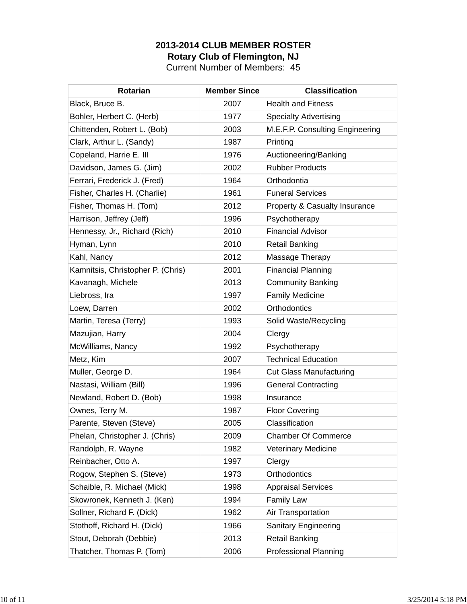## **2013-2014 CLUB MEMBER ROSTER Rotary Club of Flemington, NJ**

Current Number of Members: 45

| <b>Rotarian</b>                   | <b>Member Since</b> | <b>Classification</b>           |
|-----------------------------------|---------------------|---------------------------------|
| Black, Bruce B.                   | 2007                | <b>Health and Fitness</b>       |
| Bohler, Herbert C. (Herb)         | 1977                | <b>Specialty Advertising</b>    |
| Chittenden, Robert L. (Bob)       | 2003                | M.E.F.P. Consulting Engineering |
| Clark, Arthur L. (Sandy)          | 1987                | Printing                        |
| Copeland, Harrie E. III           | 1976                | Auctioneering/Banking           |
| Davidson, James G. (Jim)          | 2002                | <b>Rubber Products</b>          |
| Ferrari, Frederick J. (Fred)      | 1964                | Orthodontia                     |
| Fisher, Charles H. (Charlie)      | 1961                | <b>Funeral Services</b>         |
| Fisher, Thomas H. (Tom)           | 2012                | Property & Casualty Insurance   |
| Harrison, Jeffrey (Jeff)          | 1996                | Psychotherapy                   |
| Hennessy, Jr., Richard (Rich)     | 2010                | <b>Financial Advisor</b>        |
| Hyman, Lynn                       | 2010                | <b>Retail Banking</b>           |
| Kahl, Nancy                       | 2012                | Massage Therapy                 |
| Kamnitsis, Christopher P. (Chris) | 2001                | <b>Financial Planning</b>       |
| Kavanagh, Michele                 | 2013                | <b>Community Banking</b>        |
| Liebross, Ira                     | 1997                | <b>Family Medicine</b>          |
| Loew, Darren                      | 2002                | Orthodontics                    |
| Martin, Teresa (Terry)            | 1993                | Solid Waste/Recycling           |
| Mazujian, Harry                   | 2004                | Clergy                          |
| McWilliams, Nancy                 | 1992                | Psychotherapy                   |
| Metz, Kim                         | 2007                | <b>Technical Education</b>      |
| Muller, George D.                 | 1964                | <b>Cut Glass Manufacturing</b>  |
| Nastasi, William (Bill)           | 1996                | <b>General Contracting</b>      |
| Newland, Robert D. (Bob)          | 1998                | Insurance                       |
| Ownes, Terry M.                   | 1987                | <b>Floor Covering</b>           |
| Parente, Steven (Steve)           | 2005                | Classification                  |
| Phelan, Christopher J. (Chris)    | 2009                | <b>Chamber Of Commerce</b>      |
| Randolph, R. Wayne                | 1982                | <b>Veterinary Medicine</b>      |
| Reinbacher, Otto A.               | 1997                | Clergy                          |
| Rogow, Stephen S. (Steve)         | 1973                | Orthodontics                    |
| Schaible, R. Michael (Mick)       | 1998                | <b>Appraisal Services</b>       |
| Skowronek, Kenneth J. (Ken)       | 1994                | Family Law                      |
| Sollner, Richard F. (Dick)        | 1962                | Air Transportation              |
| Stothoff, Richard H. (Dick)       | 1966                | <b>Sanitary Engineering</b>     |
| Stout, Deborah (Debbie)           | 2013                | <b>Retail Banking</b>           |
| Thatcher, Thomas P. (Tom)         | 2006                | Professional Planning           |